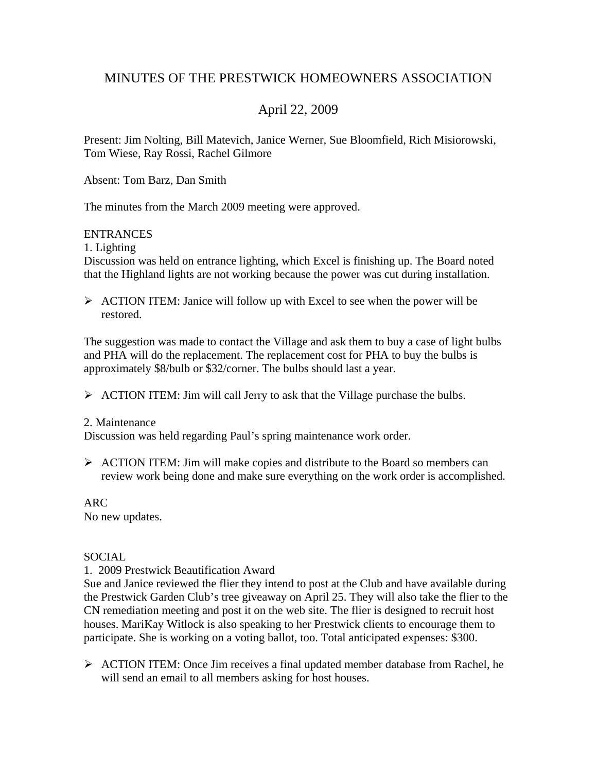## MINUTES OF THE PRESTWICK HOMEOWNERS ASSOCIATION

# April 22, 2009

Present: Jim Nolting, Bill Matevich, Janice Werner, Sue Bloomfield, Rich Misiorowski, Tom Wiese, Ray Rossi, Rachel Gilmore

Absent: Tom Barz, Dan Smith

The minutes from the March 2009 meeting were approved.

#### **ENTRANCES**

1. Lighting

Discussion was held on entrance lighting, which Excel is finishing up. The Board noted that the Highland lights are not working because the power was cut during installation.

 $\triangleright$  ACTION ITEM: Janice will follow up with Excel to see when the power will be restored.

The suggestion was made to contact the Village and ask them to buy a case of light bulbs and PHA will do the replacement. The replacement cost for PHA to buy the bulbs is approximately \$8/bulb or \$32/corner. The bulbs should last a year.

 $\triangleright$  ACTION ITEM: Jim will call Jerry to ask that the Village purchase the bulbs.

#### 2. Maintenance

Discussion was held regarding Paul's spring maintenance work order.

 $\triangleright$  ACTION ITEM: Jim will make copies and distribute to the Board so members can review work being done and make sure everything on the work order is accomplished.

ARC

No new updates.

## **SOCIAL**

1. 2009 Prestwick Beautification Award

Sue and Janice reviewed the flier they intend to post at the Club and have available during the Prestwick Garden Club's tree giveaway on April 25. They will also take the flier to the CN remediation meeting and post it on the web site. The flier is designed to recruit host houses. MariKay Witlock is also speaking to her Prestwick clients to encourage them to participate. She is working on a voting ballot, too. Total anticipated expenses: \$300.

¾ ACTION ITEM: Once Jim receives a final updated member database from Rachel, he will send an email to all members asking for host houses.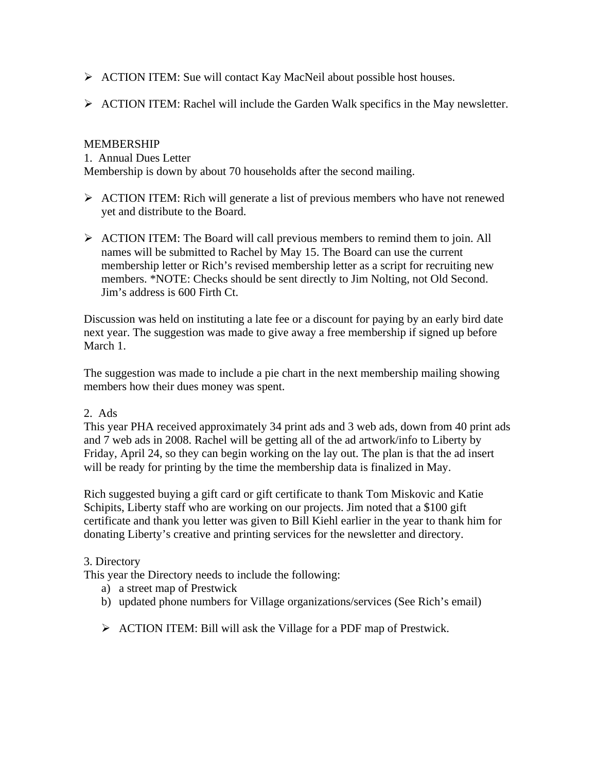- ¾ ACTION ITEM: Sue will contact Kay MacNeil about possible host houses.
- $\triangleright$  ACTION ITEM: Rachel will include the Garden Walk specifics in the May newsletter.

## MEMBERSHIP

1. Annual Dues Letter

Membership is down by about 70 households after the second mailing.

- ¾ ACTION ITEM: Rich will generate a list of previous members who have not renewed yet and distribute to the Board.
- $\triangleright$  ACTION ITEM: The Board will call previous members to remind them to join. All names will be submitted to Rachel by May 15. The Board can use the current membership letter or Rich's revised membership letter as a script for recruiting new members. \*NOTE: Checks should be sent directly to Jim Nolting, not Old Second. Jim's address is 600 Firth Ct.

Discussion was held on instituting a late fee or a discount for paying by an early bird date next year. The suggestion was made to give away a free membership if signed up before March 1.

The suggestion was made to include a pie chart in the next membership mailing showing members how their dues money was spent.

## 2. Ads

This year PHA received approximately 34 print ads and 3 web ads, down from 40 print ads and 7 web ads in 2008. Rachel will be getting all of the ad artwork/info to Liberty by Friday, April 24, so they can begin working on the lay out. The plan is that the ad insert will be ready for printing by the time the membership data is finalized in May.

Rich suggested buying a gift card or gift certificate to thank Tom Miskovic and Katie Schipits, Liberty staff who are working on our projects. Jim noted that a \$100 gift certificate and thank you letter was given to Bill Kiehl earlier in the year to thank him for donating Liberty's creative and printing services for the newsletter and directory.

## 3. Directory

This year the Directory needs to include the following:

- a) a street map of Prestwick
- b) updated phone numbers for Village organizations/services (See Rich's email)
- ¾ ACTION ITEM: Bill will ask the Village for a PDF map of Prestwick.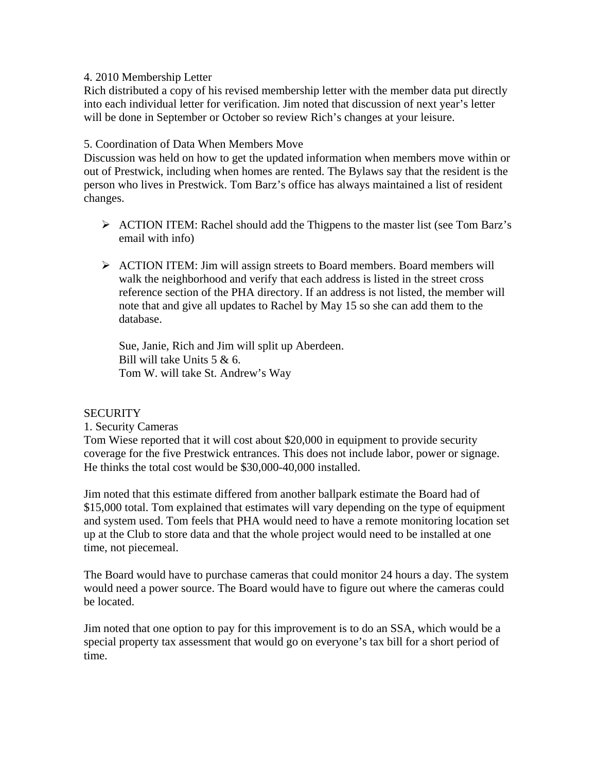#### 4. 2010 Membership Letter

Rich distributed a copy of his revised membership letter with the member data put directly into each individual letter for verification. Jim noted that discussion of next year's letter will be done in September or October so review Rich's changes at your leisure.

#### 5. Coordination of Data When Members Move

Discussion was held on how to get the updated information when members move within or out of Prestwick, including when homes are rented. The Bylaws say that the resident is the person who lives in Prestwick. Tom Barz's office has always maintained a list of resident changes.

- ¾ ACTION ITEM: Rachel should add the Thigpens to the master list (see Tom Barz's email with info)
- ¾ ACTION ITEM: Jim will assign streets to Board members. Board members will walk the neighborhood and verify that each address is listed in the street cross reference section of the PHA directory. If an address is not listed, the member will note that and give all updates to Rachel by May 15 so she can add them to the database.

Sue, Janie, Rich and Jim will split up Aberdeen. Bill will take Units 5 & 6. Tom W. will take St. Andrew's Way

#### **SECURITY**

#### 1. Security Cameras

Tom Wiese reported that it will cost about \$20,000 in equipment to provide security coverage for the five Prestwick entrances. This does not include labor, power or signage. He thinks the total cost would be \$30,000-40,000 installed.

Jim noted that this estimate differed from another ballpark estimate the Board had of \$15,000 total. Tom explained that estimates will vary depending on the type of equipment and system used. Tom feels that PHA would need to have a remote monitoring location set up at the Club to store data and that the whole project would need to be installed at one time, not piecemeal.

The Board would have to purchase cameras that could monitor 24 hours a day. The system would need a power source. The Board would have to figure out where the cameras could be located.

Jim noted that one option to pay for this improvement is to do an SSA, which would be a special property tax assessment that would go on everyone's tax bill for a short period of time.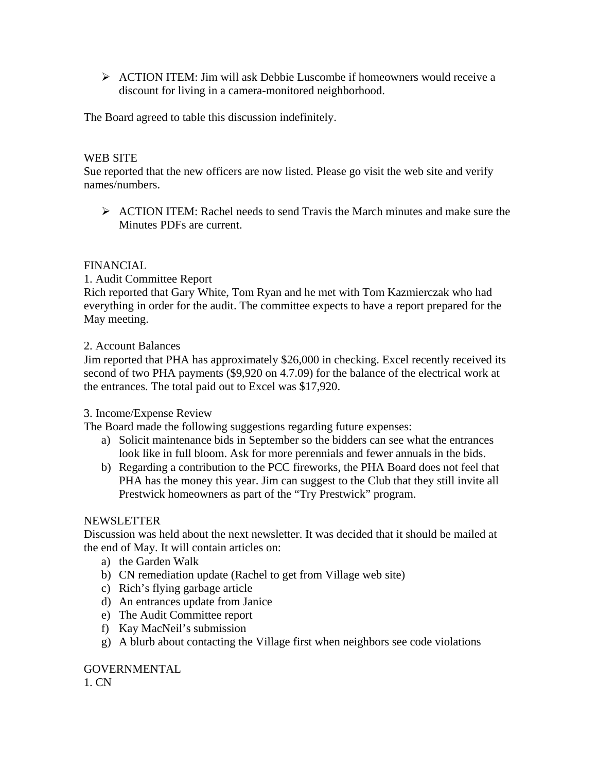$\triangleright$  ACTION ITEM: Jim will ask Debbie Luscombe if homeowners would receive a discount for living in a camera-monitored neighborhood.

The Board agreed to table this discussion indefinitely.

#### WEB SITE

Sue reported that the new officers are now listed. Please go visit the web site and verify names/numbers.

¾ ACTION ITEM: Rachel needs to send Travis the March minutes and make sure the Minutes PDFs are current.

#### FINANCIAL

1. Audit Committee Report

Rich reported that Gary White, Tom Ryan and he met with Tom Kazmierczak who had everything in order for the audit. The committee expects to have a report prepared for the May meeting.

#### 2. Account Balances

Jim reported that PHA has approximately \$26,000 in checking. Excel recently received its second of two PHA payments (\$9,920 on 4.7.09) for the balance of the electrical work at the entrances. The total paid out to Excel was \$17,920.

#### 3. Income/Expense Review

The Board made the following suggestions regarding future expenses:

- a) Solicit maintenance bids in September so the bidders can see what the entrances look like in full bloom. Ask for more perennials and fewer annuals in the bids.
- b) Regarding a contribution to the PCC fireworks, the PHA Board does not feel that PHA has the money this year. Jim can suggest to the Club that they still invite all Prestwick homeowners as part of the "Try Prestwick" program.

#### NEWSLETTER

Discussion was held about the next newsletter. It was decided that it should be mailed at the end of May. It will contain articles on:

- a) the Garden Walk
- b) CN remediation update (Rachel to get from Village web site)
- c) Rich's flying garbage article
- d) An entrances update from Janice
- e) The Audit Committee report
- f) Kay MacNeil's submission
- g) A blurb about contacting the Village first when neighbors see code violations

## GOVERNMENTAL

1. CN